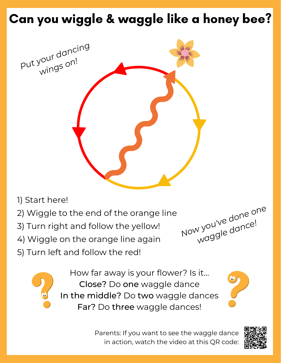## Can you wiggle & waggle like a honey bee?



- 1) Start here!
- 2) Wiggle to the end of the orange line
- 3) Turn right and follow the yellow!
- 4) Wiggle on the orange line again
- 5) Turn left and follow the red!





How far away is your flower? Is it... Close? Do one waggle dance In the middle? Do two waggle dances Far? Do three waggle dances!

Parents: If you want to see the waggle dance in action, watch the video at this QR code: